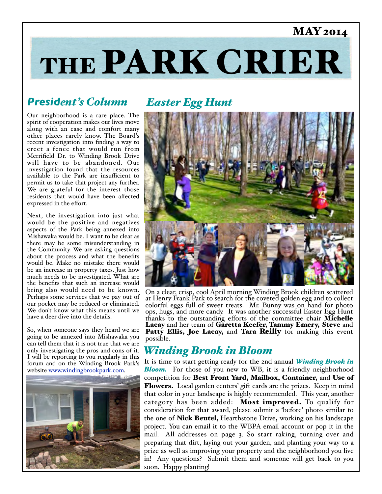### MAY 2014

# THE PARK CRIER

### *President's Column*

Our neighborhood is a rare place. The spirit of cooperation makes our lives move along with an ease and comfort many other places rarely know. The Board's recent investigation into finding a way to erect a fence that would run from Merrifield Dr. to Winding Brook Drive will have to be abandoned. Our investigation found that the resources available to the Park are insufficient to permit us to take that project any further. We are grateful for the interest those residents that would have been affected expressed in the effort.

Next, the investigation into just what would be the positive and negatives aspects of the Park being annexed into Mishawaka would be. I want to be clear as there may be some misunderstanding in the Community. We are asking questions about the process and what the benefits would be. Make no mistake there would be an increase in property taxes. Just how much needs to be investigated. What are the benefits that such an increase would bring also would need to be known. Perhaps some services that we pay out of our pocket may be reduced or eliminated. We don't know what this means until we have a deer dive into the details.

So, when someone says they heard we are going to be annexed into Mishawaka you can tell them that it is not true that we are only investigating the pros and cons of it. I will be reporting to you regularly in this forum and on the Winding Brook Park's website [www.windingbrookpark.com.](http://www.windingbrookpark.com)



### *Easter Egg Hunt*



On a clear, crisp, cool April morning Winding Brook children scattered at Henry Frank Park to search for the coveted golden egg and to collect colorful eggs full of sweet treats. Mr. Bunny was on hand for photo ops, hugs, and more candy. It was another successful Easter Egg Hunt thanks to the outstanding efforts of the committee chair Michelle Lacay and her team of Garetta Keefer, Tammy Emery, Steve and Patty Ellis, Joe Lacay, and Tara Reilly for making this event possible.

#### *Winding Brook in Bloom*

It is time to start getting ready for the 2nd annual *Winding Brook in*  **Bloom.** For those of you new to WB, it is a friendly neighborhood competition for Best Front Yard, Mailbox, Container, and Use of Flowers. Local garden centers' gift cards are the prizes. Keep in mind that color in your landscape is highly recommended. This year, another category has been added: Most improved. To qualify for consideration for that award, please submit a 'before' photo similar to the one of **Nick Beutel**, Hearthstone Drive, working on his landscape project. You can email it to the WBPA email account or pop it in the mail. All addresses on page 3. So start raking, turning over and preparing that dirt, laying out your garden, and planting your way to a prize as well as improving your property and the neighborhood you live in! Any questions? Submit them and someone will get back to you soon. Happy planting!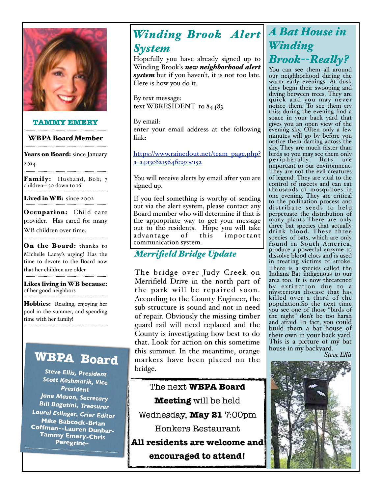

#### **TAMMY EMERY**

#### WBPA Board Member

Years on Board: since January 2014

Family: Husband, Bob; 7 children-- 30 down to 16!

Lived in WB: since 2002

Occupation: Child care provider. Has cared for many WB children over time.

On the Board: thanks to Michelle Lacay's urging! Has the time to devote to the Board now that her children are older

Likes living in WB because: of her good neighbors

Hobbies: Reading, enjoying her pool in the summer, and spending time with her family!

### **WBPA Board**

*Steve Ellis, President Scott Kashmarik, Vice President Jane Mason, Secretary Bill Bagatini, Treasurer Laurel Eslinger, Crier Editor* **Mike Babcock-Brian Coffman--Lauren Dunbar-Tammy Emery-Chris Peregrine-**

# *Winding Brook Alert A Bat House in*

#### *System*

Hopefully you have already signed up to Winding Brook's *new neighborhood alert system* but if you haven't, it is not too late. Here is how you do it.

By text message: text WBRESIDENT to 84483

By email: enter your email address at the following link:

[https://www.rainedout.net/team\\_page.php?](https://www.rainedout.net/team_page.php?a=a4a3c621564fe250c152) [a=a4a3c621564fe250c152](https://www.rainedout.net/team_page.php?a=a4a3c621564fe250c152)

You will receive alerts by email after you are signed up.

If you feel something is worthy of sending out via the alert system, please contact any Board member who will determine if that is the appropriate way to get your message out to the residents. Hope you will take advantage of this important communication system.

#### *Merrifield Bridge Update*

The bridge over Judy Creek on Merrifield Drive in the north part of the park will be repaired soon. According to the County Engineer, the sub-structure is sound and not in need of repair. Obviously the missing timber guard rail will need replaced and the County is investigating how best to do that. Look for action on this sometime this summer. In the meantime, orange markers have been placed on the bridge.

The next **WBPA Board Meeting** will be held Wednesday, **May 21** 7:00pm Honkers Restaurant **All residents are welcome and** 

**encouraged to attend!**

# *Winding Brook--Realy?*

You can see them all around our neighborhood during the warm early evenings. At dusk they begin their swooping and diving between trees. They are quick and you may never notice them. To see them try this; during the evening find a space in your back yard that gives you an open view of the evening sky. Often only a few minutes will go by before you notice them darting across the sky. They are much faster than birds so you may see them only<br>peripherally. Bats are peripherally. important to our environment. They are not the evil creatures of legend. They are vital to the control of insects and can eat thousands of mosquitoes in one evening. They are critical to the pollination process and distribute seeds to help perpetuate the distribution of many plants.There are only three bat species that actually drink blood. These three species of bats, which are only found in South America, produce a powerful enzyme to dissolve blood clots and is used in treating victims of stroke. There is a species called the Indiana Bat indigenous to our area too. It is now threatened by extinction due to a mysterious disease that has killed over a third of the population.So the next time you see one of those "birds of the night" don't be too harsh and afraid. In fact, you could build them a bat house of their own in your back yard. This is a picture of my bat house in my backyard.

*Steve Elis*

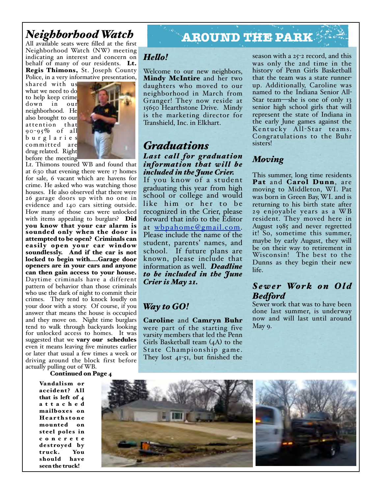# *Neighborhood Watch*<br>All available seats were filled at the first

Neighborhood Watch (NW) meeting indicating an interest and concern on behalf of many of our residents. Lt. Regis Thimons, St. Joseph County Police, in a very informative presentation,

shared with us what we need to do to help keep crime down in our neighborhood. He also brought to our attention that 90-95% of all b u r g l a r i e s committed are drug related. Right before the meeting



Lt. Thimons toured WB and found that at 6:30 that evening there were 17 homes for sale, 6 vacant which are havens for crime. He asked who was watching those houses. He also observed that there were 26 garage doors up with no one in evidence and 140 cars sitting outside. How many of those cars were unlocked with items appealing to burglars? Did you know that your car alarm is sounded only when the door is attempted to be open? Criminals can easily open your car window soundlessly. And if the car is not locked to begin with....Garage door openers are in your cars and anyone can then gain access to your house. Daytime criminals have a different pattern of behavior than those criminals who use the dark of night to commit their crimes. They tend to knock loudly on your door with a story. Of course, if you answer that means the house is occupied and they move on. Night time burglars tend to walk through backyards looking for unlocked access to homes. It was suggested that we **vary our schedules** even it means leaving five minutes earlier or later that usual a few times a week or driving around the block first before actually pulling out of WB.

#### Continued on Page 4

Vandalism or accident? All that is left of 4 a t t a c h e d mailboxes on Hearthstone mounted on steel poles in c o n c r e t e destroyed by truck. You should have seen the truck!

## All available seats were filled at the first **AROUND THE PARK**

#### *Helo!*

Welcome to our new neighbors, Mindy McIntire and her two daughters who moved to our neighborhood in March from Granger! They now reside at 15650 Hearthstone Drive. Mindy is the marketing director for Transhield, Inc. in Elkhart.

#### *Graduations Last call for graduation information that will be included in the June Crier.*

If you know of a student graduating this year from high school or college and would like him or her to be recognized in the Crier, please forward that info to the Editor at [wbpahome@gmail.com.](mailto:wbpahome@gmail.com) Please include the name of the student, parents' names, and school. If future plans are known, please include that information as well. *Deadline to be included in the June Crier is May 21.*

#### *Way to GO!*

Caroline and Camryn Buhr were part of the starting five varsity members that led the Penn Girls Basketball team (4A) to the State Championship game. They lost 41-51, but finished the season with a 25-2 record, and this was only the 2nd time in the history of Penn Girls Basketball that the team was a state runnerup. Additionally, Caroline was named to the Indiana Senior All-Star team—she is one of only 13 senior high school girls that will represent the state of Indiana in the early June games against the Kentucky All-Star teams. Congratulations to the Buhr sisters!

#### *Moving*

This summer, long time residents Pat and Carol Dunn, are moving to Middleton, WI. Pat was born in Green Bay, WI. and is returning to his birth state after 29 enjoyable years as a WB resident. They moved here in August 1985 and never regretted it! So, sometime this summer, maybe by early August, they will be on their way to retirement in Wisconsin! The best to the Dunns as they begin their new life.

#### $Sewer$  *Work on Old Bedford*

Sewer work that was to have been done last summer, is underway now and will last until around May 9.